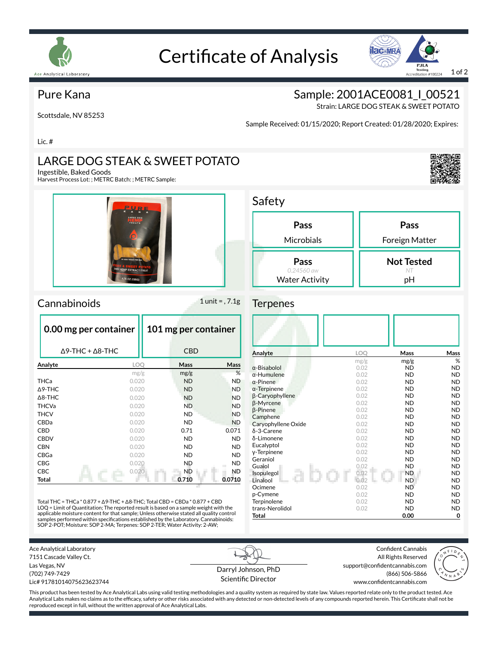

# Certificate of Analysis



#### Pure Kana

Scottsdale, NV 85253

Sample: 2001ACE0081\_I\_00521

Strain: LARGE DOG STEAK & SWEET POTATO

Sample Received: 01/15/2020; Report Created: 01/28/2020; Expires:

Lic. #

## LARGE DOG STEAK & SWEET POTATO

Ingestible, Baked Goods

Harvest Process Lot: ; METRC Batch: ; METRC Sample:



#### $Camabinoids$  1 unit = , 7.1g

| 0.00 mg per container | 101 mg per container |                                                                                                                                                            |  |  |
|-----------------------|----------------------|------------------------------------------------------------------------------------------------------------------------------------------------------------|--|--|
|                       |                      |                                                                                                                                                            |  |  |
|                       | Mass                 | Mass                                                                                                                                                       |  |  |
|                       | mg/g                 | %                                                                                                                                                          |  |  |
| 0.020                 |                      | <b>ND</b>                                                                                                                                                  |  |  |
|                       | <b>ND</b>            | <b>ND</b>                                                                                                                                                  |  |  |
| 0.020                 |                      | <b>ND</b>                                                                                                                                                  |  |  |
| 0.020                 |                      | <b>ND</b>                                                                                                                                                  |  |  |
| 0.020                 |                      | <b>ND</b>                                                                                                                                                  |  |  |
|                       | ND.                  | <b>ND</b>                                                                                                                                                  |  |  |
|                       | 0.71                 | 0.071                                                                                                                                                      |  |  |
|                       | <b>ND</b>            | <b>ND</b>                                                                                                                                                  |  |  |
| 0.020                 |                      | <b>ND</b>                                                                                                                                                  |  |  |
|                       | ND.                  | <b>ND</b>                                                                                                                                                  |  |  |
|                       | <b>ND</b>            | <b>ND</b>                                                                                                                                                  |  |  |
|                       | <b>ND</b>            | ND.                                                                                                                                                        |  |  |
|                       | 0.710                | 0.0710                                                                                                                                                     |  |  |
|                       |                      | <b>CBD</b><br><b>LOO</b><br>mg/g<br><b>ND</b><br>0.020<br><b>ND</b><br><b>ND</b><br><b>ND</b><br>0.020<br>0.020<br>0.020<br>ND.<br>0.020<br>0.020<br>0.020 |  |  |

Total THC = THCa \* 0.877 + ∆9-THC + ∆8-THC; Total CBD = CBDa \* 0.877 + CBD LOQ = Limit of Quantitation; The reported result is based on a sample weight with the applicable moisture content for that sample; Unless otherwise stated all quality control<br>samples performed within specifications established by the Laboratory. Cannabinoids:<br>SOP 2-POT; Moisture: SOP 2-MA; Terpenes: SOP 2-T

| Pass                  | Pass              |
|-----------------------|-------------------|
| Microbials            | Foreign Matter    |
| Pass                  | <b>Not Tested</b> |
| 0.24560 aw            | NT                |
| <b>Water Activity</b> | рH                |

#### **Terpenes**

| Analyte             | <b>LOO</b> | Mass      | Mass      |
|---------------------|------------|-----------|-----------|
|                     | mg/g       | mg/g      | %         |
| $\alpha$ -Bisabolol | 0.02       | <b>ND</b> | <b>ND</b> |
| $\alpha$ -Humulene  | 0.02       | <b>ND</b> | <b>ND</b> |
| $\alpha$ -Pinene    | 0.02       | <b>ND</b> | <b>ND</b> |
| $\alpha$ -Terpinene | 0.02       | <b>ND</b> | <b>ND</b> |
| β-Caryophyllene     | 0.02       | <b>ND</b> | <b>ND</b> |
| β-Myrcene           | 0.02       | <b>ND</b> | <b>ND</b> |
| $\beta$ -Pinene     | 0.02       | <b>ND</b> | <b>ND</b> |
| Camphene            | 0.02       | <b>ND</b> | <b>ND</b> |
| Caryophyllene Oxide | 0.02       | <b>ND</b> | <b>ND</b> |
| δ-3-Carene          | 0.02       | <b>ND</b> | <b>ND</b> |
| δ-Limonene          | 0.02       | <b>ND</b> | <b>ND</b> |
| Eucalyptol          | 0.02       | <b>ND</b> | <b>ND</b> |
| y-Terpinene         | 0.02       | <b>ND</b> | <b>ND</b> |
| Geraniol            | 0.02       | <b>ND</b> | <b>ND</b> |
| Guaiol              | 0.02       | <b>ND</b> | <b>ND</b> |
| Isopulegol          | 0.02       | <b>ND</b> | <b>ND</b> |
| Linalool            | 0.02       | <b>ND</b> | <b>ND</b> |
| Ocimene             | 0.02       | <b>ND</b> | <b>ND</b> |
| p-Cymene            | 0.02       | <b>ND</b> | <b>ND</b> |
| Terpinolene         | 0.02       | <b>ND</b> | <b>ND</b> |
| trans-Nerolidol     | 0.02       | <b>ND</b> | <b>ND</b> |
| <b>Total</b>        |            | 0.00      | 0         |

Ace Analytical Laboratory 7151 Cascade Valley Ct. Las Vegas, NV (702) 749-7429 Lic# 91781014075623623744

Darryl Johnson, PhD Scientific Director

Confident Cannabis All Rights Reserved support@confidentcannabis.com (866) 506-5866 www.confidentcannabis.com



This product has been tested by Ace Analytical Labs using valid testing methodologies and a quality system as required by state law. Values reported relate only to the product tested. Ace Analytical Labs makes no claims as to the efficacy, safety or other risks associated with any detected or non-detected levels of any compounds reported herein. This Certificate shall not be reproduced except in full, without the written approval of Ace Analytical Labs.